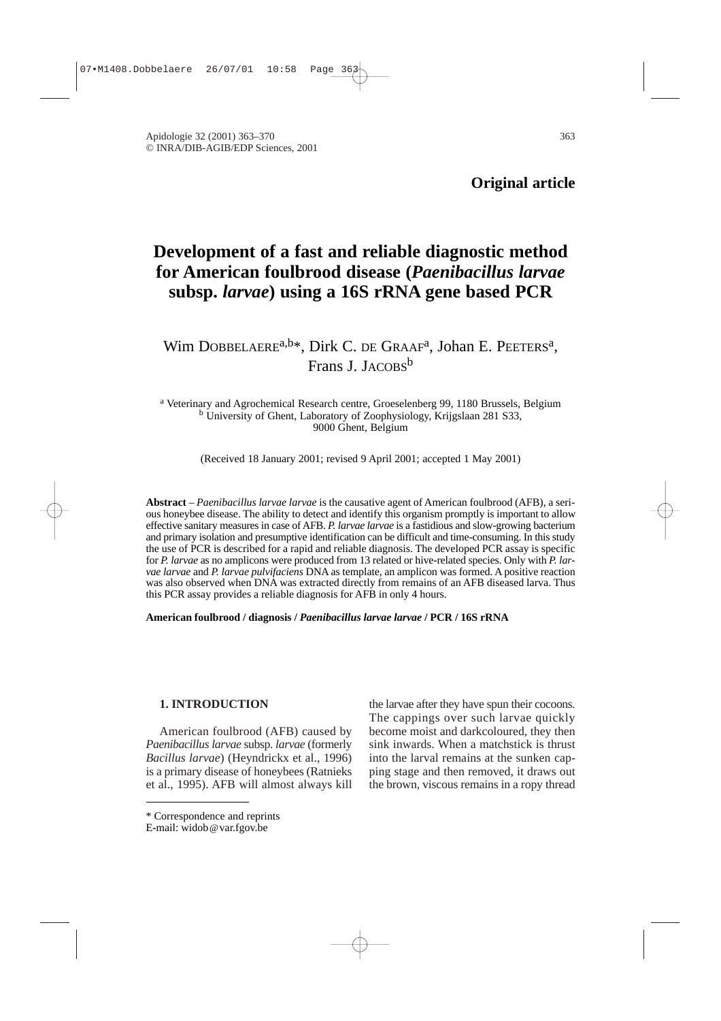Apidologie 32 (2001) 363–370 363 © INRA/DIB-AGIB/EDP Sciences, 2001

**Original article**

# **Development of a fast and reliable diagnostic method for American foulbrood disease (***Paenibacillus larvae* **subsp.** *larvae***) using a 16S rRNA gene based PCR**

Wim DOBBELAERE<sup>a,b\*</sup>, Dirk C. DE GRAAF<sup>a</sup>, Johan E. PEETERS<sup>a</sup>, Frans J. JACOBS<sup>b</sup>

<sup>a</sup> Veterinary and Agrochemical Research centre, Groeselenberg 99, 1180 Brussels, Belgium <sup>b</sup> University of Ghent, Laboratory of Zoophysiology, Krijgslaan 281 S33, 9000 Ghent, Belgium

(Received 18 January 2001; revised 9 April 2001; accepted 1 May 2001)

**Abstract** – *Paenibacillus larvae larvae* is the causative agent of American foulbrood (AFB), a serious honeybee disease. The ability to detect and identify this organism promptly is important to allow effective sanitary measures in case of AFB. *P. larvae larvae* is a fastidious and slow-growing bacterium and primary isolation and presumptive identification can be difficult and time-consuming. In this study the use of PCR is described for a rapid and reliable diagnosis. The developed PCR assay is specific for *P. larvae* as no amplicons were produced from 13 related or hive-related species. Only with *P. larvae larvae* and *P. larvae pulvifaciens* DNA as template, an amplicon was formed. A positive reaction was also observed when DNA was extracted directly from remains of an AFB diseased larva. Thus this PCR assay provides a reliable diagnosis for AFB in only 4 hours.

**American foulbrood / diagnosis /** *Paenibacillus larvae larvae* **/ PCR / 16S rRNA**

# **1. INTRODUCTION**

American foulbrood (AFB) caused by *Paenibacillus larvae* subsp. *larvae* (formerly *Bacillus larvae*) (Heyndrickx et al., 1996) is a primary disease of honeybees (Ratnieks et al., 1995). AFB will almost always kill the larvae after they have spun their cocoons. The cappings over such larvae quickly become moist and darkcoloured, they then sink inwards. When a matchstick is thrust into the larval remains at the sunken capping stage and then removed, it draws out the brown, viscous remains in a ropy thread

<sup>\*</sup> Correspondence and reprints

E-mail: widob@var.fgov.be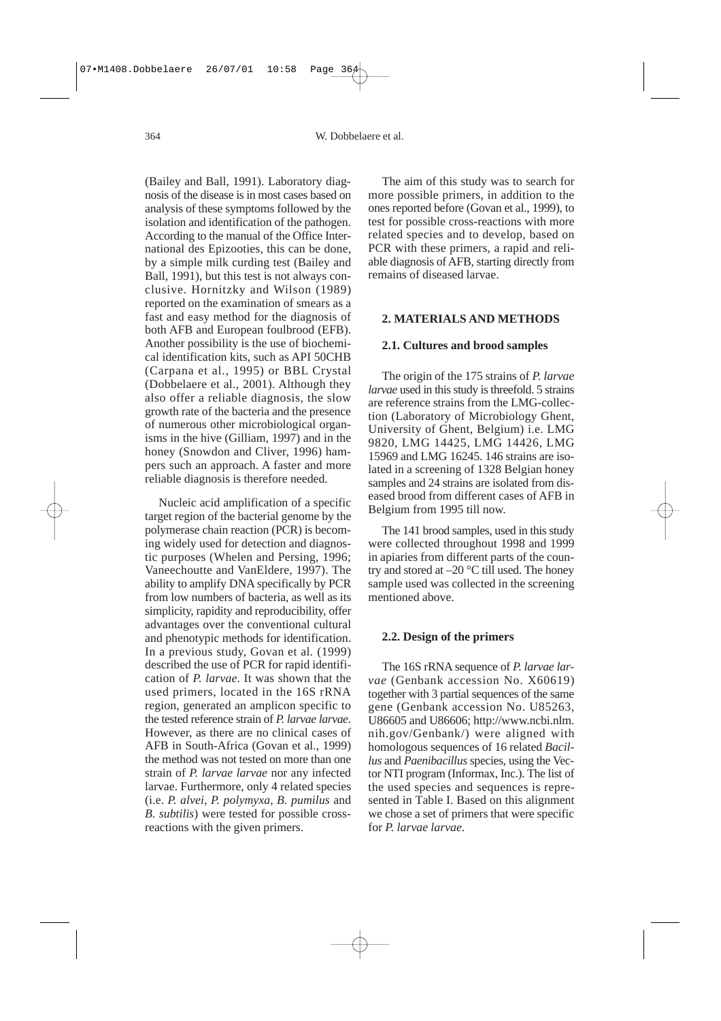(Bailey and Ball, 1991). Laboratory diagnosis of the disease is in most cases based on analysis of these symptoms followed by the isolation and identification of the pathogen. According to the manual of the Office International des Epizooties, this can be done, by a simple milk curding test (Bailey and Ball, 1991), but this test is not always conclusive. Hornitzky and Wilson (1989) reported on the examination of smears as a fast and easy method for the diagnosis of both AFB and European foulbrood (EFB). Another possibility is the use of biochemical identification kits, such as API 50CHB (Carpana et al., 1995) or BBL Crystal (Dobbelaere et al., 2001). Although they also offer a reliable diagnosis, the slow growth rate of the bacteria and the presence of numerous other microbiological organisms in the hive (Gilliam, 1997) and in the honey (Snowdon and Cliver, 1996) hampers such an approach. A faster and more reliable diagnosis is therefore needed.

Nucleic acid amplification of a specific target region of the bacterial genome by the polymerase chain reaction (PCR) is becoming widely used for detection and diagnostic purposes (Whelen and Persing, 1996; Vaneechoutte and VanEldere, 1997). The ability to amplify DNA specifically by PCR from low numbers of bacteria, as well as its simplicity, rapidity and reproducibility, offer advantages over the conventional cultural and phenotypic methods for identification. In a previous study, Govan et al*.* (1999) described the use of PCR for rapid identification of *P. larvae*. It was shown that the used primers, located in the 16S rRNA region, generated an amplicon specific to the tested reference strain of *P. larvae larvae*. However, as there are no clinical cases of AFB in South-Africa (Govan et al., 1999) the method was not tested on more than one strain of *P. larvae larvae* nor any infected larvae. Furthermore, only 4 related species (i.e. *P. alvei, P. polymyxa, B. pumilus* and *B. subtilis*) were tested for possible crossreactions with the given primers.

The aim of this study was to search for more possible primers, in addition to the ones reported before (Govan et al., 1999), to test for possible cross-reactions with more related species and to develop, based on PCR with these primers, a rapid and reliable diagnosis of AFB, starting directly from remains of diseased larvae.

#### **2. MATERIALS AND METHODS**

#### **2.1. Cultures and brood samples**

The origin of the 175 strains of *P. larvae larvae* used in this study is threefold. 5 strains are reference strains from the LMG-collection (Laboratory of Microbiology Ghent, University of Ghent, Belgium) i.e. LMG 9820, LMG 14425, LMG 14426, LMG 15969 and LMG 16245. 146 strains are isolated in a screening of 1328 Belgian honey samples and 24 strains are isolated from diseased brood from different cases of AFB in Belgium from 1995 till now.

The 141 brood samples, used in this study were collected throughout 1998 and 1999 in apiaries from different parts of the country and stored at  $-20$  °C till used. The honey sample used was collected in the screening mentioned above.

#### **2.2. Design of the primers**

The 16S rRNA sequence of *P. larvae larvae* (Genbank accession No. X60619) together with 3 partial sequences of the same gene (Genbank accession No. U85263, U86605 and U86606; http://www.ncbi.nlm. nih.gov/Genbank/) were aligned with homologous sequences of 16 related *Bacillus* and *Paenibacillus* species, using the Vector NTI program (Informax, Inc.). The list of the used species and sequences is represented in Table I. Based on this alignment we chose a set of primers that were specific for *P. larvae larvae*.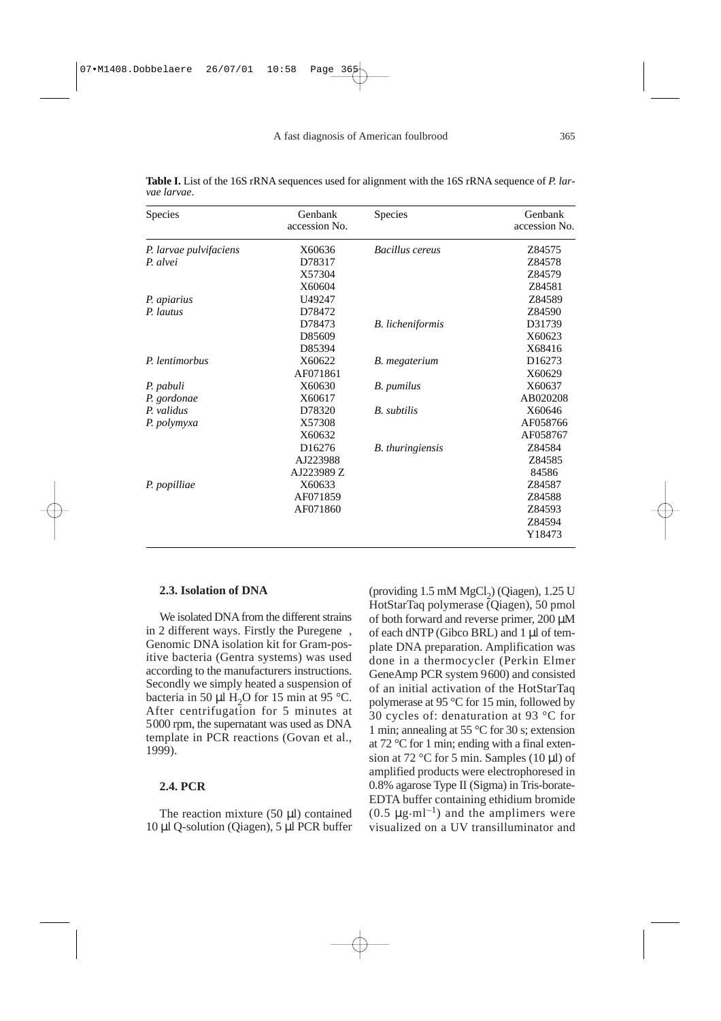**Table I.** List of the 16S rRNA sequences used for alignment with the 16S rRNA sequence of *P. larvae larvae*.

| Species                | Genbank<br>accession No. | Species                 | Genbank<br>accession No. |
|------------------------|--------------------------|-------------------------|--------------------------|
| P. larvae pulvifaciens | X60636                   | Bacillus cereus         | Z84575                   |
| P. alvei               | D78317                   |                         | Z84578                   |
|                        | X57304                   |                         | Z84579                   |
|                        | X60604                   |                         | Z84581                   |
| P. apiarius            | U49247                   |                         | Z84589                   |
| P. lautus              | D78472                   |                         | Z84590                   |
|                        | D78473                   | <b>B.</b> licheniformis | D31739                   |
|                        | D85609                   |                         | X60623                   |
|                        | D85394                   |                         | X68416                   |
| P. lentimorbus         | X60622                   | B. megaterium           | D <sub>16273</sub>       |
|                        | AF071861                 |                         | X60629                   |
| P. pabuli              | X60630                   | B. pumilus              | X60637                   |
| P. gordonae            | X60617                   |                         | AB020208                 |
| P. validus             | D78320                   | B. subtilis             | X60646                   |
| P. polymyxa            | X57308                   |                         | AF058766                 |
|                        | X60632                   |                         | AF058767                 |
|                        | D <sub>16276</sub>       | <b>B.</b> thuringiensis | Z84584                   |
|                        | AJ223988                 |                         | Z84585                   |
|                        | AJ223989 Z               |                         | 84586                    |
| P. popilliae           | X60633                   |                         | Z84587                   |
|                        | AF071859                 |                         | Z84588                   |
|                        | AF071860                 |                         | Z84593                   |
|                        |                          |                         | Z84594                   |
|                        |                          |                         | Y18473                   |

## **2.3. Isolation of DNA**

We isolated DNA from the different strains in 2 different ways. Firstly the Puregene<sup>®</sup>, Genomic DNA isolation kit for Gram-positive bacteria (Gentra systems) was used according to the manufacturers instructions. Secondly we simply heated a suspension of bacteria in 50  $\mu$ l H<sub>2</sub>O for 15 min at 95 °C. After centrifugation for 5 minutes at 5000 rpm, the supernatant was used as DNA template in PCR reactions (Govan et al., 1999).

# **2.4. PCR**

The reaction mixture (50 µl) contained 10 µl Q-solution (Qiagen), 5 µl PCR buffer

(providing  $1.5 \text{ mM MgCl}_2$ ) (Qiagen),  $1.25 \text{ U}$ HotStarTaq polymerase (Qiagen), 50 pmol of both forward and reverse primer, 200 µM of each dNTP (Gibco BRL) and 1 µl of template DNA preparation. Amplification was done in a thermocycler (Perkin Elmer GeneAmp PCR system 9600) and consisted of an initial activation of the HotStarTaq polymerase at 95 °C for 15 min, followed by 30 cycles of: denaturation at 93 °C for 1 min; annealing at 55 °C for 30 s; extension at 72 °C for 1 min; ending with a final extension at 72 °C for 5 min. Samples (10  $\mu$ l) of amplified products were electrophoresed in 0.8% agarose Type II (Sigma) in Tris-borate-EDTA buffer containing ethidium bromide  $(0.5 \mu g \cdot ml^{-1})$  and the amplimers were visualized on a UV transilluminator and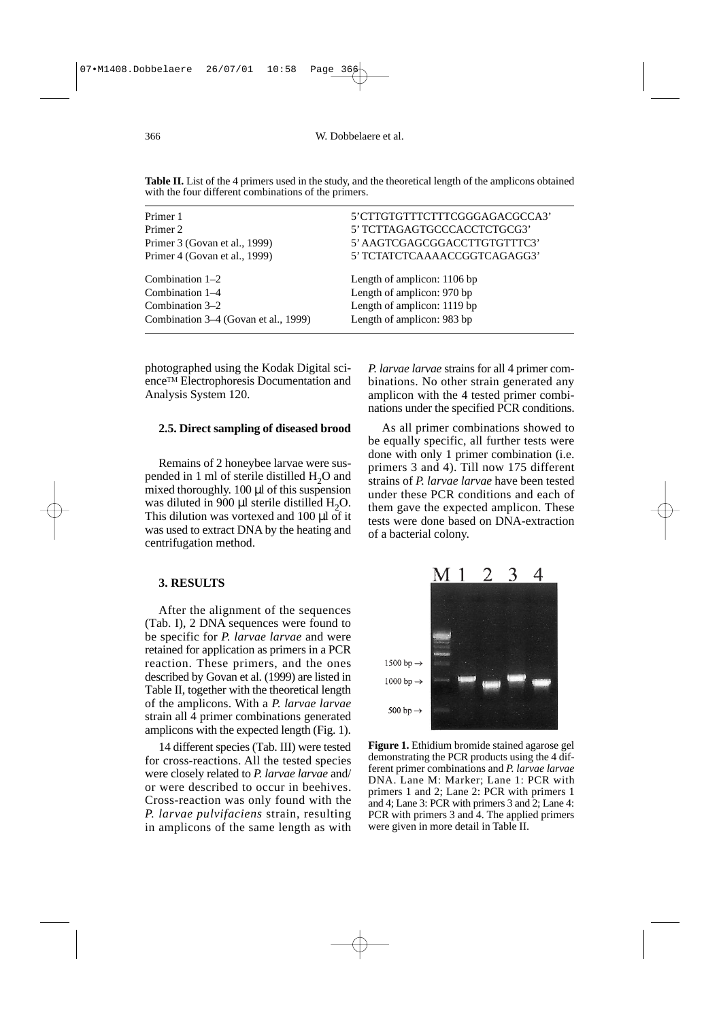| Primer 1                             | 5'CTTGTGTTTCTTTCGGGAGACGCCA3' |
|--------------------------------------|-------------------------------|
| Primer 2                             | 5' TCTTAGAGTGCCCACCTCTGCG3'   |
| Primer 3 (Govan et al., 1999)        | 5' AAGTCGAGCGGACCTTGTGTTTC3'  |
| Primer 4 (Govan et al., 1999)        | 5' TCTATCTCAAAACCGGTCAGAGG3'  |
| Combination $1-2$                    | Length of amplicon: 1106 bp   |
| Combination $1-4$                    | Length of amplicon: 970 bp    |
| Combination 3–2                      | Length of amplicon: 1119 bp   |
| Combination 3–4 (Govan et al., 1999) | Length of amplicon: 983 bp    |

photographed using the Kodak Digital scienceTM Electrophoresis Documentation and Analysis System 120.

## **2.5. Direct sampling of diseased brood**

Remains of 2 honeybee larvae were suspended in 1 ml of sterile distilled  $H_2O$  and mixed thoroughly. 100 µl of this suspension was diluted in 900  $\mu$ l sterile distilled H<sub>2</sub>O. This dilution was vortexed and 100 µl of it was used to extract DNA by the heating and centrifugation method.

# **3. RESULTS**

After the alignment of the sequences (Tab. I), 2 DNA sequences were found to be specific for *P. larvae larvae* and were retained for application as primers in a PCR reaction. These primers, and the ones described by Govan et al. (1999) are listed in Table II, together with the theoretical length of the amplicons. With a *P. larvae larvae* strain all 4 primer combinations generated amplicons with the expected length (Fig. 1).

14 different species (Tab. III) were tested for cross-reactions. All the tested species were closely related to *P. larvae larvae* and/ or were described to occur in beehives. Cross-reaction was only found with the *P. larvae pulvifaciens* strain, resulting in amplicons of the same length as with *P. larvae larvae* strains for all 4 primer combinations. No other strain generated any amplicon with the 4 tested primer combinations under the specified PCR conditions.

As all primer combinations showed to be equally specific, all further tests were done with only 1 primer combination (i.e. primers 3 and 4). Till now 175 different strains of *P. larvae larvae* have been tested under these PCR conditions and each of them gave the expected amplicon. These tests were done based on DNA-extraction of a bacterial colony.



**Figure 1.** Ethidium bromide stained agarose gel demonstrating the PCR products using the 4 different primer combinations and *P. larvae larvae* DNA. Lane M: Marker; Lane 1: PCR with primers 1 and 2; Lane 2: PCR with primers 1 and 4; Lane 3: PCR with primers 3 and 2; Lane 4: PCR with primers 3 and 4. The applied primers were given in more detail in Table II.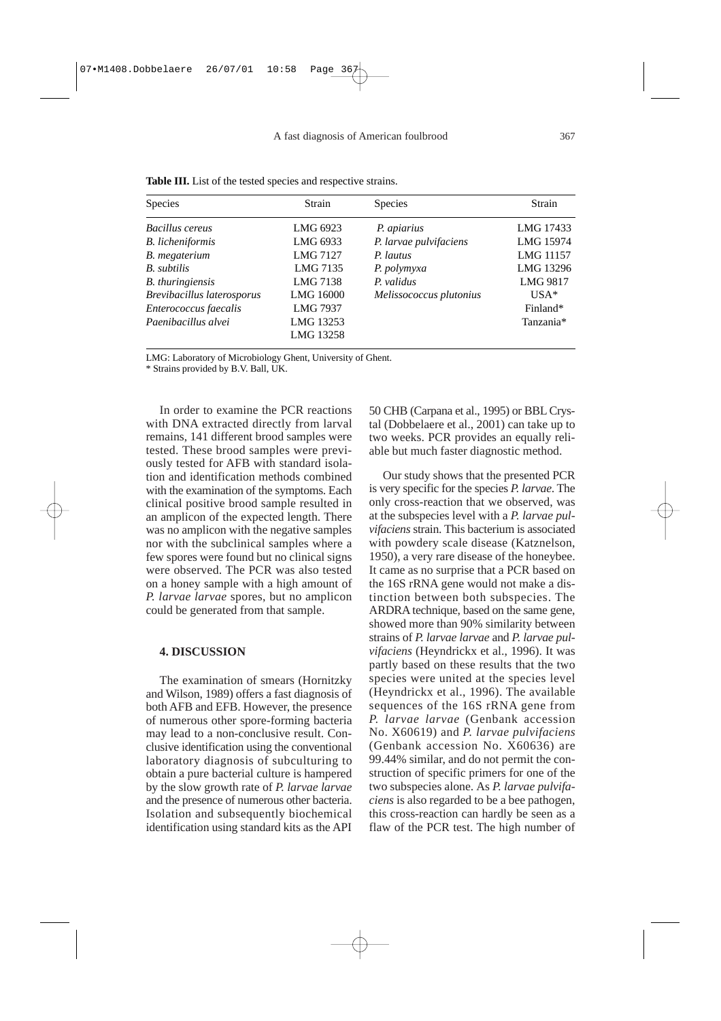|  |  |  |  | <b>Table III.</b> List of the tested species and respective strains. |  |
|--|--|--|--|----------------------------------------------------------------------|--|
|  |  |  |  |                                                                      |  |

| <b>Species</b>             | Strain    | <b>Species</b>          | Strain    |
|----------------------------|-----------|-------------------------|-----------|
| Bacillus cereus            | LMG 6923  | P. apiarius             | LMG 17433 |
| <b>B.</b> licheniformis    | LMG 6933  | P. larvae pulvifaciens  | LMG 15974 |
| B. megaterium              | LMG 7127  | P. lautus               | LMG 11157 |
| B. subtilis                | LMG 7135  | P. polymyxa             | LMG 13296 |
| <b>B.</b> thuringiensis    | LMG 7138  | P. validus              | LMG 9817  |
| Brevibacillus laterosporus | LMG 16000 | Melissococcus plutonius | $USA*$    |
| Enterococcus faecalis      | LMG 7937  |                         | Finland*  |
| Paenibacillus alvei        | LMG 13253 |                         | Tanzania* |
|                            | LMG 13258 |                         |           |

LMG: Laboratory of Microbiology Ghent, University of Ghent.

\* Strains provided by B.V. Ball, UK.

In order to examine the PCR reactions with DNA extracted directly from larval remains, 141 different brood samples were tested. These brood samples were previously tested for AFB with standard isolation and identification methods combined with the examination of the symptoms. Each clinical positive brood sample resulted in an amplicon of the expected length. There was no amplicon with the negative samples nor with the subclinical samples where a few spores were found but no clinical signs were observed. The PCR was also tested on a honey sample with a high amount of *P. larvae larvae* spores, but no amplicon could be generated from that sample.

#### **4. DISCUSSION**

The examination of smears (Hornitzky and Wilson, 1989) offers a fast diagnosis of both AFB and EFB. However, the presence of numerous other spore-forming bacteria may lead to a non-conclusive result. Conclusive identification using the conventional laboratory diagnosis of subculturing to obtain a pure bacterial culture is hampered by the slow growth rate of *P. larvae larvae* and the presence of numerous other bacteria. Isolation and subsequently biochemical identification using standard kits as the API 50 CHB (Carpana et al., 1995) or BBL Crystal (Dobbelaere et al., 2001) can take up to two weeks. PCR provides an equally reliable but much faster diagnostic method.

Our study shows that the presented PCR is very specific for the species *P. larvae*. The only cross-reaction that we observed, was at the subspecies level with a *P. larvae pulvifaciens* strain. This bacterium is associated with powdery scale disease (Katznelson, 1950), a very rare disease of the honeybee. It came as no surprise that a PCR based on the 16S rRNA gene would not make a distinction between both subspecies. The ARDRA technique, based on the same gene, showed more than 90% similarity between strains of *P. larvae larvae* and *P. larvae pulvifaciens* (Heyndrickx et al., 1996). It was partly based on these results that the two species were united at the species level (Heyndrickx et al., 1996). The available sequences of the 16S rRNA gene from *P. larvae larvae* (Genbank accession No. X60619) and *P. larvae pulvifaciens* (Genbank accession No. X60636) are 99.44% similar, and do not permit the construction of specific primers for one of the two subspecies alone. As *P. larvae pulvifaciens* is also regarded to be a bee pathogen, this cross-reaction can hardly be seen as a flaw of the PCR test. The high number of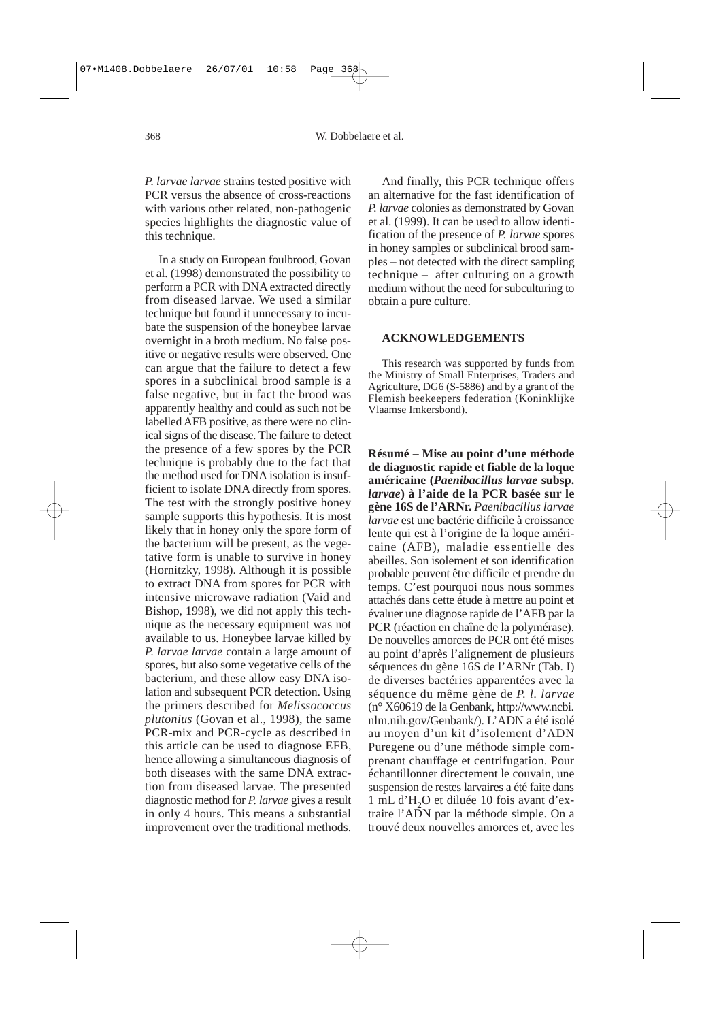*P. larvae larvae* strains tested positive with PCR versus the absence of cross-reactions with various other related, non-pathogenic species highlights the diagnostic value of this technique.

In a study on European foulbrood, Govan et al. (1998) demonstrated the possibility to perform a PCR with DNA extracted directly from diseased larvae. We used a similar technique but found it unnecessary to incubate the suspension of the honeybee larvae overnight in a broth medium. No false positive or negative results were observed. One can argue that the failure to detect a few spores in a subclinical brood sample is a false negative, but in fact the brood was apparently healthy and could as such not be labelled AFB positive, as there were no clinical signs of the disease. The failure to detect the presence of a few spores by the PCR technique is probably due to the fact that the method used for DNA isolation is insufficient to isolate DNA directly from spores. The test with the strongly positive honey sample supports this hypothesis. It is most likely that in honey only the spore form of the bacterium will be present, as the vegetative form is unable to survive in honey (Hornitzky, 1998). Although it is possible to extract DNA from spores for PCR with intensive microwave radiation (Vaid and Bishop, 1998), we did not apply this technique as the necessary equipment was not available to us. Honeybee larvae killed by *P. larvae larvae* contain a large amount of spores, but also some vegetative cells of the bacterium, and these allow easy DNA isolation and subsequent PCR detection. Using the primers described for *Melissococcus plutonius* (Govan et al., 1998), the same PCR-mix and PCR-cycle as described in this article can be used to diagnose EFB, hence allowing a simultaneous diagnosis of both diseases with the same DNA extraction from diseased larvae. The presented diagnostic method for *P. larvae* gives a result in only 4 hours. This means a substantial improvement over the traditional methods.

And finally, this PCR technique offers an alternative for the fast identification of *P. larvae* colonies as demonstrated by Govan et al. (1999). It can be used to allow identification of the presence of *P. larvae* spores in honey samples or subclinical brood samples – not detected with the direct sampling technique – after culturing on a growth medium without the need for subculturing to obtain a pure culture.

## **ACKNOWLEDGEMENTS**

This research was supported by funds from the Ministry of Small Enterprises, Traders and Agriculture, DG6 (S-5886) and by a grant of the Flemish beekeepers federation (Koninklijke Vlaamse Imkersbond).

**Résumé – Mise au point d'une méthode de diagnostic rapide et fiable de la loque américaine (***Paenibacillus larvae* **subsp.** *larvae***) à l'aide de la PCR basée sur le gène 16S de l'ARNr.** *Paenibacillus larvae larvae* est une bactérie difficile à croissance lente qui est à l'origine de la loque américaine (AFB), maladie essentielle des abeilles. Son isolement et son identification probable peuvent être difficile et prendre du temps. C'est pourquoi nous nous sommes attachés dans cette étude à mettre au point et évaluer une diagnose rapide de l'AFB par la PCR (réaction en chaîne de la polymérase). De nouvelles amorces de PCR ont été mises au point d'après l'alignement de plusieurs séquences du gène 16S de l'ARNr (Tab. I) de diverses bactéries apparentées avec la séquence du même gène de *P. l. larvae* (n° X60619 de la Genbank, http://www.ncbi. nlm.nih.gov/Genbank/). L'ADN a été isolé au moyen d'un kit d'isolement d'ADN Puregene ou d'une méthode simple comprenant chauffage et centrifugation. Pour échantillonner directement le couvain, une suspension de restes larvaires a été faite dans 1 mL d'H2O et diluée 10 fois avant d'extraire l'ADN par la méthode simple. On a trouvé deux nouvelles amorces et, avec les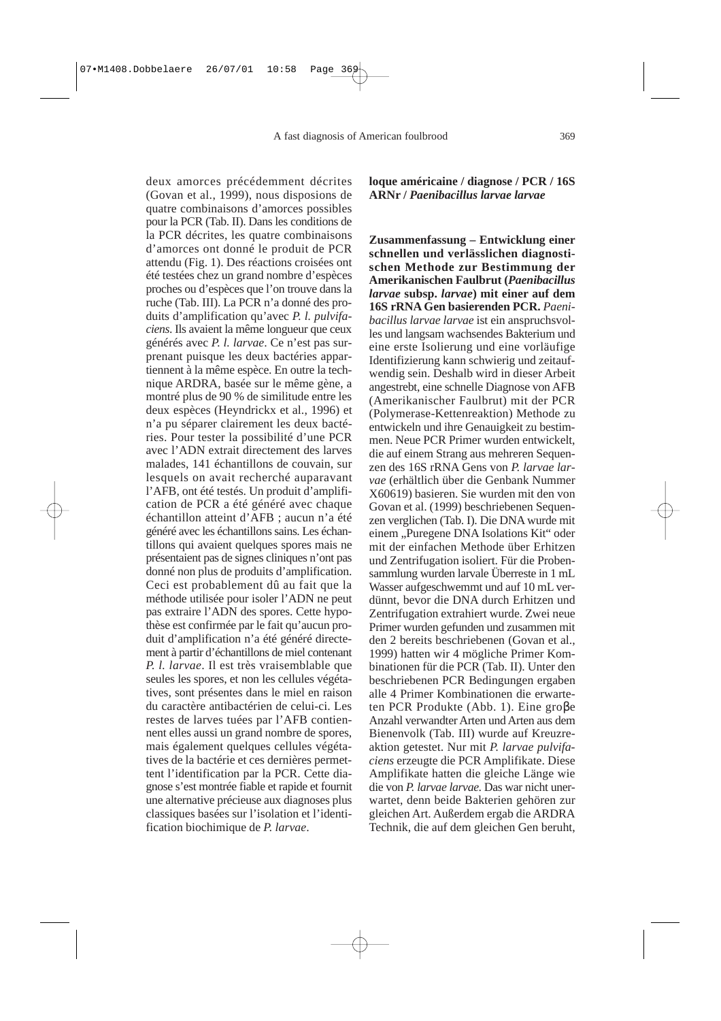A fast diagnosis of American foulbrood 369

deux amorces précédemment décrites (Govan et al., 1999), nous disposions de quatre combinaisons d'amorces possibles pour la PCR (Tab. II). Dans les conditions de la PCR décrites, les quatre combinaisons d'amorces ont donné le produit de PCR attendu (Fig. 1). Des réactions croisées ont été testées chez un grand nombre d'espèces proches ou d'espèces que l'on trouve dans la ruche (Tab. III). La PCR n'a donné des produits d'amplification qu'avec *P. l. pulvifaciens*. Ils avaient la même longueur que ceux générés avec *P. l. larvae*. Ce n'est pas surprenant puisque les deux bactéries appartiennent à la même espèce. En outre la technique ARDRA, basée sur le même gène, a montré plus de 90 % de similitude entre les deux espèces (Heyndrickx et al., 1996) et n'a pu séparer clairement les deux bactéries. Pour tester la possibilité d'une PCR avec l'ADN extrait directement des larves malades, 141 échantillons de couvain, sur lesquels on avait recherché auparavant l'AFB, ont été testés. Un produit d'amplification de PCR a été généré avec chaque échantillon atteint d'AFB ; aucun n'a été généré avec les échantillons sains. Les échantillons qui avaient quelques spores mais ne présentaient pas de signes cliniques n'ont pas donné non plus de produits d'amplification. Ceci est probablement dû au fait que la méthode utilisée pour isoler l'ADN ne peut pas extraire l'ADN des spores. Cette hypothèse est confirmée par le fait qu'aucun produit d'amplification n'a été généré directement à partir d'échantillons de miel contenant *P. l. larvae*. Il est très vraisemblable que seules les spores, et non les cellules végétatives, sont présentes dans le miel en raison du caractère antibactérien de celui-ci. Les restes de larves tuées par l'AFB contiennent elles aussi un grand nombre de spores, mais également quelques cellules végétatives de la bactérie et ces dernières permettent l'identification par la PCR. Cette diagnose s'est montrée fiable et rapide et fournit une alternative précieuse aux diagnoses plus classiques basées sur l'isolation et l'identification biochimique de *P. larvae*.

**loque américaine / diagnose / PCR / 16S ARNr /** *Paenibacillus larvae larvae*

**Zusammenfassung – Entwicklung einer schnellen und verlässlichen diagnostischen Methode zur Bestimmung der Amerikanischen Faulbrut (***Paenibacillus larvae* **subsp.** *larvae***) mit einer auf dem 16S rRNA Gen basierenden PCR.** *Paenibacillus larvae larvae* ist ein anspruchsvolles und langsam wachsendes Bakterium und eine erste Isolierung und eine vorläufige Identifizierung kann schwierig und zeitaufwendig sein. Deshalb wird in dieser Arbeit angestrebt, eine schnelle Diagnose von AFB (Amerikanischer Faulbrut) mit der PCR (Polymerase-Kettenreaktion) Methode zu entwickeln und ihre Genauigkeit zu bestimmen. Neue PCR Primer wurden entwickelt, die auf einem Strang aus mehreren Sequenzen des 16S rRNA Gens von *P. larvae larvae* (erhältlich über die Genbank Nummer X60619) basieren. Sie wurden mit den von Govan et al. (1999) beschriebenen Sequenzen verglichen (Tab. I). Die DNA wurde mit einem "Puregene DNA Isolations Kit" oder mit der einfachen Methode über Erhitzen und Zentrifugation isoliert. Für die Probensammlung wurden larvale Überreste in 1 mL Wasser aufgeschwemmt und auf 10 mL verdünnt, bevor die DNA durch Erhitzen und Zentrifugation extrahiert wurde. Zwei neue Primer wurden gefunden und zusammen mit den 2 bereits beschriebenen (Govan et al., 1999) hatten wir 4 mögliche Primer Kombinationen für die PCR (Tab. II). Unter den beschriebenen PCR Bedingungen ergaben alle 4 Primer Kombinationen die erwarteten PCR Produkte (Abb. 1). Eine groβe Anzahl verwandter Arten und Arten aus dem Bienenvolk (Tab. III) wurde auf Kreuzreaktion getestet. Nur mit *P. larvae pulvifaciens* erzeugte die PCR Amplifikate. Diese Amplifikate hatten die gleiche Länge wie die von *P. larvae larvae*. Das war nicht unerwartet, denn beide Bakterien gehören zur gleichen Art. Außerdem ergab die ARDRA Technik, die auf dem gleichen Gen beruht,